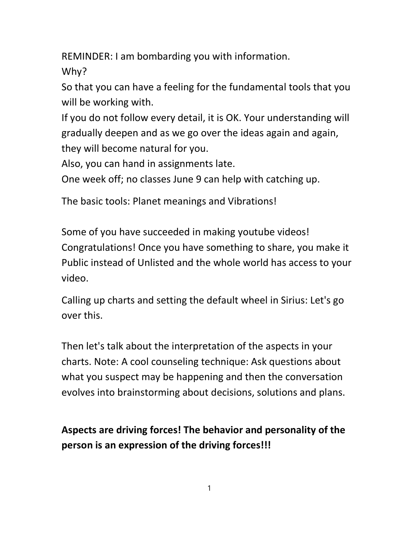REMINDER: I am bombarding you with information.

Why?

So that you can have a feeling for the fundamental tools that you will be working with.

If you do not follow every detail, it is OK. Your understanding will gradually deepen and as we go over the ideas again and again, they will become natural for you.

Also, you can hand in assignments late.

One week off; no classes June 9 can help with catching up.

The basic tools: Planet meanings and Vibrations!

Some of you have succeeded in making youtube videos! Congratulations! Once you have something to share, you make it Public instead of Unlisted and the whole world has access to your video.

Calling up charts and setting the default wheel in Sirius: Let's go over this.

Then let's talk about the interpretation of the aspects in your charts. Note: A cool counseling technique: Ask questions about what you suspect may be happening and then the conversation evolves into brainstorming about decisions, solutions and plans.

# Aspects are driving forces! The behavior and personality of the person is an expression of the driving forces!!!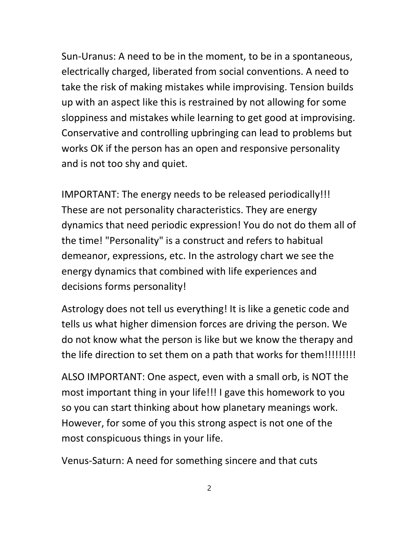Sun-Uranus: A need to be in the moment, to be in a spontaneous, electrically charged, liberated from social conventions. A need to take the risk of making mistakes while improvising. Tension builds up with an aspect like this is restrained by not allowing for some sloppiness and mistakes while learning to get good at improvising. Conservative and controlling upbringing can lead to problems but works OK if the person has an open and responsive personality and is not too shy and quiet.

IMPORTANT: The energy needs to be released periodically!!! These are not personality characteristics. They are energy dynamics that need periodic expression! You do not do them all of the time! "Personality" is a construct and refers to habitual demeanor, expressions, etc. In the astrology chart we see the energy dynamics that combined with life experiences and decisions forms personality!

Astrology does not tell us everything! It is like a genetic code and tells us what higher dimension forces are driving the person. We do not know what the person is like but we know the therapy and the life direction to set them on a path that works for them!!!!!!!!!!!

ALSO IMPORTANT: One aspect, even with a small orb, is NOT the most important thing in your life!!! I gave this homework to you so you can start thinking about how planetary meanings work. However, for some of you this strong aspect is not one of the most conspicuous things in your life.

Venus-Saturn: A need for something sincere and that cuts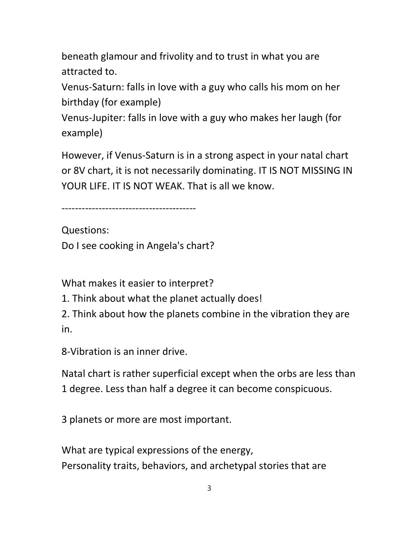beneath glamour and frivolity and to trust in what you are attracted to.

Venus-Saturn: falls in love with a guy who calls his mom on her birthday (for example)

Venus-Jupiter: falls in love with a guy who makes her laugh (for example)

However, if Venus-Saturn is in a strong aspect in your natal chart or 8V chart, it is not necessarily dominating. IT IS NOT MISSING IN YOUR LIFE. IT IS NOT WEAK. That is all we know.

----------------------------------------

Questions: Do I see cooking in Angela's chart?

What makes it easier to interpret?

1. Think about what the planet actually does!

2. Think about how the planets combine in the vibration they are in.

8-Vibration is an inner drive.

Natal chart is rather superficial except when the orbs are less than 1 degree. Less than half a degree it can become conspicuous.

3 planets or more are most important.

What are typical expressions of the energy, Personality traits, behaviors, and archetypal stories that are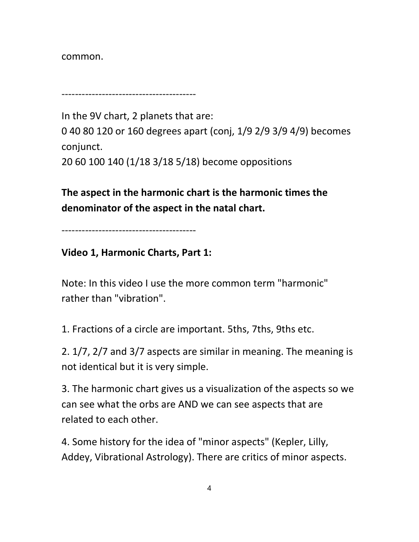common.

----------------------------------------

In the 9V chart, 2 planets that are: 0 40 80 120 or 160 degrees apart (conj, 1/9 2/9 3/9 4/9) becomes conjunct.

20 60 100 140 (1/18 3/18 5/18) become oppositions

The aspect in the harmonic chart is the harmonic times the denominator of the aspect in the natal chart.

----------------------------------------

### Video 1, Harmonic Charts, Part 1:

Note: In this video I use the more common term "harmonic" rather than "vibration".

1. Fractions of a circle are important. 5ths, 7ths, 9ths etc.

2. 1/7, 2/7 and 3/7 aspects are similar in meaning. The meaning is not identical but it is very simple.

3. The harmonic chart gives us a visualization of the aspects so we can see what the orbs are AND we can see aspects that are related to each other.

4. Some history for the idea of "minor aspects" (Kepler, Lilly, Addey, Vibrational Astrology). There are critics of minor aspects.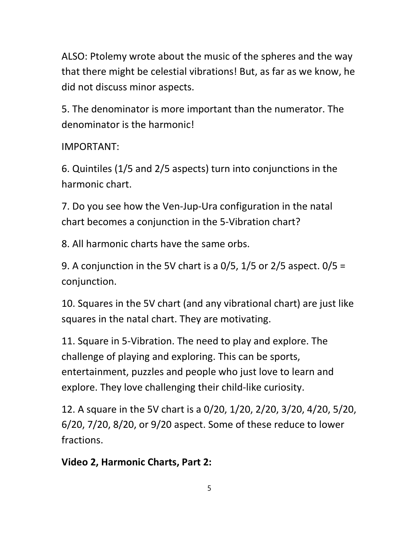ALSO: Ptolemy wrote about the music of the spheres and the way that there might be celestial vibrations! But, as far as we know, he did not discuss minor aspects.

5. The denominator is more important than the numerator. The denominator is the harmonic!

### IMPORTANT:

6. Quintiles (1/5 and 2/5 aspects) turn into conjunctions in the harmonic chart.

7. Do you see how the Ven-Jup-Ura configuration in the natal chart becomes a conjunction in the 5-Vibration chart?

8. All harmonic charts have the same orbs.

9. A conjunction in the 5V chart is a  $0/5$ ,  $1/5$  or  $2/5$  aspect.  $0/5 =$ conjunction.

10. Squares in the 5V chart (and any vibrational chart) are just like squares in the natal chart. They are motivating.

11. Square in 5-Vibration. The need to play and explore. The challenge of playing and exploring. This can be sports, entertainment, puzzles and people who just love to learn and explore. They love challenging their child-like curiosity.

12. A square in the 5V chart is a 0/20, 1/20, 2/20, 3/20, 4/20, 5/20, 6/20, 7/20, 8/20, or 9/20 aspect. Some of these reduce to lower fractions.

### Video 2, Harmonic Charts, Part 2: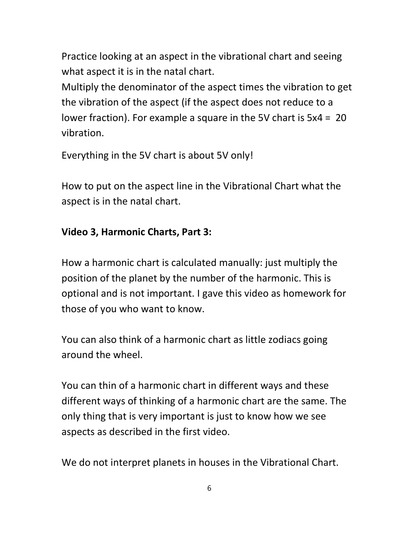Practice looking at an aspect in the vibrational chart and seeing what aspect it is in the natal chart.

Multiply the denominator of the aspect times the vibration to get the vibration of the aspect (if the aspect does not reduce to a lower fraction). For example a square in the 5V chart is 5x4 = 20 vibration.

Everything in the 5V chart is about 5V only!

How to put on the aspect line in the Vibrational Chart what the aspect is in the natal chart.

#### Video 3, Harmonic Charts, Part 3:

How a harmonic chart is calculated manually: just multiply the position of the planet by the number of the harmonic. This is optional and is not important. I gave this video as homework for those of you who want to know.

You can also think of a harmonic chart as little zodiacs going around the wheel.

You can thin of a harmonic chart in different ways and these different ways of thinking of a harmonic chart are the same. The only thing that is very important is just to know how we see aspects as described in the first video.

We do not interpret planets in houses in the Vibrational Chart.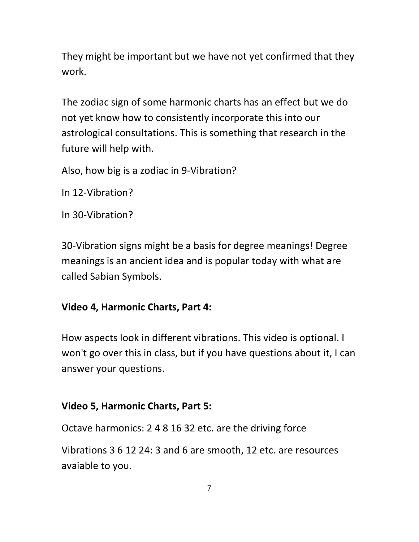They might be important but we have not yet confirmed that they work.

The zodiac sign of some harmonic charts has an effect but we do not yet know how to consistently incorporate this into our astrological consultations. This is something that research in the future will help with.

Also, how big is a zodiac in 9-Vibration?

In 12-Vibration?

In 30-Vibration?

30-Vibration signs might be a basis for degree meanings! Degree meanings is an ancient idea and is popular today with what are called Sabian Symbols.

#### Video 4, Harmonic Charts, Part 4:

How aspects look in different vibrations. This video is optional. I won't go over this in class, but if you have questions about it, I can answer your questions.

#### Video 5, Harmonic Charts, Part 5:

Octave harmonics: 2 4 8 16 32 etc. are the driving force

Vibrations 3 6 12 24: 3 and 6 are smooth, 12 etc. are resources avaiable to you.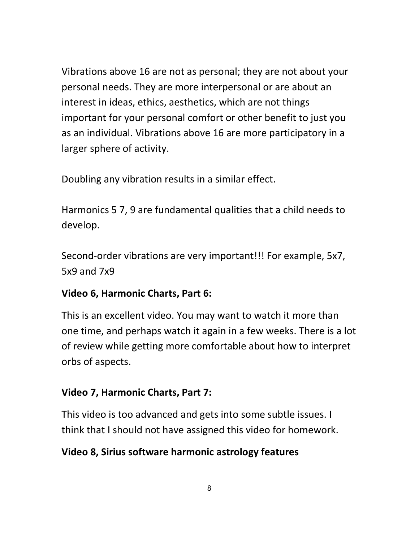Vibrations above 16 are not as personal; they are not about your personal needs. They are more interpersonal or are about an interest in ideas, ethics, aesthetics, which are not things important for your personal comfort or other benefit to just you as an individual. Vibrations above 16 are more participatory in a larger sphere of activity.

Doubling any vibration results in a similar effect.

Harmonics 5 7, 9 are fundamental qualities that a child needs to develop.

Second-order vibrations are very important!!! For example, 5x7, 5x9 and 7x9

# Video 6, Harmonic Charts, Part 6:

This is an excellent video. You may want to watch it more than one time, and perhaps watch it again in a few weeks. There is a lot of review while getting more comfortable about how to interpret orbs of aspects.

# Video 7, Harmonic Charts, Part 7:

This video is too advanced and gets into some subtle issues. I think that I should not have assigned this video for homework.

# Video 8, Sirius software harmonic astrology features